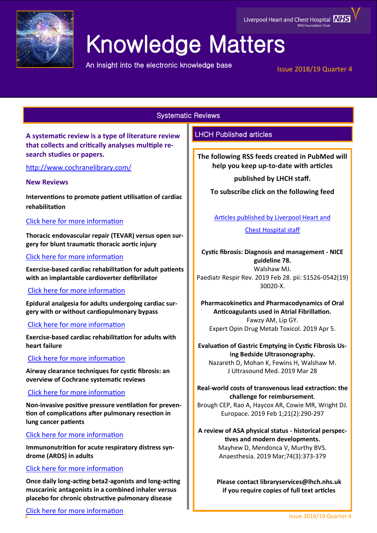

# Knowledge Matters

An insight into the electronic knowledge base

Issue 2018/19 Quarter 4

Liverpool Heart and Chest Hospital **MHS** 

Systematic Reviews

**A systematic review is a type of literature review that collects and critically analyses multiple research studies or papers.** 

<http://www.cochranelibrary.com/>

## **New Reviews**

**Interventions to promote patient utilisation of cardiac rehabilitation**

## [Click here for more information](https://www.cochranelibrary.com/cdsr/doi/10.1002/14651858.CD007131.pub4/full?highlightAbstract=withdrawn)

**Thoracic endovascular repair (TEVAR) versus open surgery for blunt traumatic thoracic aortic injury**

## [Click here for more information](https://www.cochranelibrary.com/cdsr/doi/10.1002/14651858.CD006642.pub3/full?highlightAbstract=withdrawn)

**Exercise-based cardiac rehabilitation for adult patients with an implantable cardioverter defibrillator**

## [Click here for more information](https://www.cochranelibrary.com/cdsr/doi/10.1002/14651858.CD011828.pub2/full?highlightAbstract=withdrawn)

**Epidural analgesia for adults undergoing cardiac surgery with or without cardiopulmonary bypass**

## [Click here for more information](https://www.cochranelibrary.com/cdsr/doi/10.1002/14651858.CD006715.pub3/full?highlightAbstract=withdrawn)

**Exercise-based cardiac rehabilitation for adults with heart failure**

# [Click here for more information](https://www.cochranelibrary.com/cdsr/doi/10.1002/14651858.CD003331.pub5/full?highlightAbstract=withdrawn)

**Airway clearance techniques for cystic fibrosis: an overview of Cochrane systematic reviews**

## [Click here for more information](https://www.cochranelibrary.com/cdsr/doi/10.1002/14651858.CD011231.pub2/full?highlightAbstract=withdrawn)

**Non-invasive positive pressure ventilation for prevention of complications after pulmonary resection in lung cancer patients**

# [Click here for more information](https://www.cochranelibrary.com/cdsr/doi/10.1002/14651858.CD010355.pub3/full?highlightAbstract=withdrawn)

**Immunonutrition for acute respiratory distress syndrome (ARDS) in adults**

# [Click here for more information](https://www.cochranelibrary.com/cdsr/doi/10.1002/14651858.CD012041.pub2/full?highlightAbstract=withdrawn)

**Once daily long-acting beta2-agonists and long-acting muscarinic antagonists in a combined inhaler versus placebo for chronic obstructive pulmonary disease**

# LHCH Published articles

**The following RSS feeds created in PubMed will help you keep up-to-date with articles** 

**published by LHCH staff.**

**To subscribe click on the following feed** 

[Articles published by Liverpool Heart and](http://eutils.ncbi.nlm.nih.gov/entrez/eutils/erss.cgi?rss_guid=1jmC0p0kwOiCcrGq4UdlH-eTmaOgJ316E2QW_6DKsMnynMiQ2d) 

[Chest Hospital staff](http://eutils.ncbi.nlm.nih.gov/entrez/eutils/erss.cgi?rss_guid=1jmC0p0kwOiCcrGq4UdlH-eTmaOgJ316E2QW_6DKsMnynMiQ2d) 

**Cystic fibrosis: Diagnosis and management - NICE guideline 78.** Walshaw MJ. Paediatr Respir Rev. 2019 Feb 28. pii: S1526-0542(19) 30020-X.

**Pharmacokinetics and Pharmacodynamics of Oral Anticoagulants used in Atrial Fibrillation.** Fawzy AM, Lip GY. Expert Opin Drug Metab Toxicol. 2019 Apr 5.

**Evaluation of Gastric Emptying in Cystic Fibrosis Using Bedside Ultrasonography.** Nazareth D, Mohan K, Fewins H, Walshaw M. J Ultrasound Med. 2019 Mar 28

**Real-world costs of transvenous lead extraction: the challenge for reimbursement**.

Brough CEP, Rao A, Haycox AR, Cowie MR, Wright DJ. Europace. 2019 Feb 1;21(2):290-297

**A review of ASA physical status - historical perspectives and modern developments.** Mayhew D, Mendonca V, Murthy BVS. Anaesthesia. 2019 Mar;74(3):373-379

> **Please contact libraryservices@lhch.nhs.uk if you require copies of full text articles**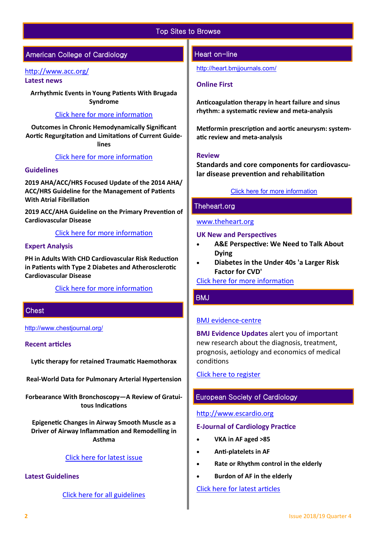## Top Sites to Browse

# American College of Cardiology

#### <http://www.acc.org/>

**Latest news** 

**Arrhythmic Events in Young Patients With Brugada Syndrome**

#### [Click here for more information](https://www.acc.org/latest-in-cardiology/journal-scans/2019/04/09/14/50/characterization-and-management-of-arrhythmic-events)

**Outcomes in Chronic Hemodynamically Significant Aortic Regurgitation and Limitations of Current Guidelines**

#### [Click here for more information](http://www.onlinejacc.org/content/73/14/1741?_ga=2.167796961.1169605049.1554904662-545228888.1519725735)

#### **Guidelines**

**2019 AHA/ACC/HRS Focused Update of the 2014 AHA/ ACC/HRS Guideline for the Management of Patients With Atrial Fibrillation**

**2019 ACC/AHA Guideline on the Primary Prevention of Cardiovascular Disease**

[Click here for more information](http://www.acc.org/guidelines#sort=%40foriginalz32xpostedz32xdate86069%20descending&f:@fdocumentz32xtype86069_670363a472df42e3adff1c75ae78b00f=[Guidelines]http://www.acc.org/guidelines) 

#### **Expert Analysis**

**PH in Adults With CHD Cardiovascular Risk Reduction in Patients with Type 2 Diabetes and Atherosclerotic Cardiovascular Disease**

[Click here for more information](http://www.acc.org/guidelines#tab1) 

## **Chest**

[http://www.chestjournal.org/](https://journal.chestnet.org/)

#### **Recent articles**

**Lytic therapy for retained Traumatic Haemothorax** 

**Real-World Data for Pulmonary Arterial Hypertension** 

**Forbearance With Bronchoscopy—A Review of Gratuitous Indications** 

**Epigenetic Changes in Airway Smooth Muscle as a Driver of Airway Inflammation and Remodelling in Asthma** 

## [Click here for latest issue](http://journal.chestnet.org/current)

## **Latest Guidelines**

[Click here for all guidelines](http://journal.chestnet.org/guidelines)

#### Heart on-line

<http://heart.bmjjournals.com/>

#### **Online First**

**Anticoagulation therapy in heart failure and sinus rhythm: a systematic review and meta-analysis**

**Metformin prescription and aortic aneurysm: systematic review and meta-analysis**

#### **Review**

**Standards and core components for cardiovascular disease prevention and rehabilitation**

#### [Click here for more information](https://heart.bmj.com/content/early/recent)

## Theheart.org

#### [www.theheart.org](https://www.medscape.com/cardiology?t=1)

#### **UK New and Perspectives**

- **A&E Perspective: We Need to Talk About Dying**
- **Diabetes in the Under 40s 'a Larger Risk Factor for CVD'**

[Click here for more information](https://www.medscape.com/cardiology?t=1)

## BMJ

#### [BMJ evidence](http://plus.mcmaster.ca/EvidenceUpdates/Default.aspx)-centre

**BMJ Evidence Updates** alert you of important new research about the diagnosis, treatment, prognosis, aetiology and economics of medical conditions

[Click here to register](http://plus.mcmaster.ca/EvidenceUpdates/Registration.aspx)

## European Society of Cardiology

#### [http://www.escardio.org](http://www.escardio.org/Pages/index.aspx)

#### **E-Journal of Cardiology Practice**

- **VKA in AF aged >85**
- **Anti-platelets in AF**
- **Rate or Rhythm control in the elderly**
- **Burdon of AF in the elderly**

[Click here for latest articles](https://www.escardio.org/Journals/E-Journal-of-Cardiology-Practice/Volume-17)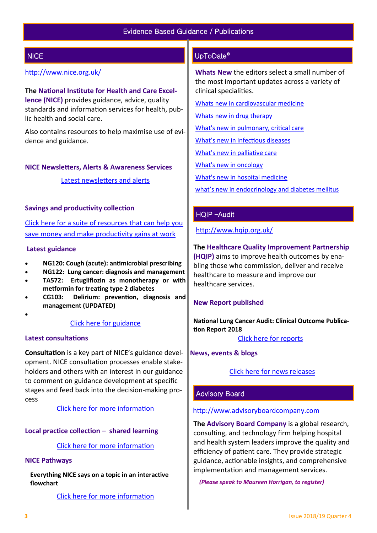# **NICE**

## <http://www.nice.org.uk/>

**The National Institute for Health and Care Excellence (NICE)** provides guidance, advice, quality standards and information services for health, public health and social care.

Also contains resources to help maximise use of evidence and guidance.

#### **NICE Newsletters, Alerts & Awareness Services**

[Latest newsletters and alerts](http://www.nice.org.uk/news/nice-newsletters-and-alerts)

#### **Savings and productivity collection**

[Click here for a suite of resources that can help you](https://www.nice.org.uk/about/What-we-do/Our-Programmes/Savings-And-Productivity-Collection)  [save money and make productivity gains at work](https://www.nice.org.uk/about/What-we-do/Our-Programmes/Savings-And-Productivity-Collection)

#### **Latest guidance**

- **NG120: Cough (acute): antimicrobial prescribing**
- **NG122: Lung cancer: diagnosis and management**
- **TA572: Ertugliflozin as monotherapy or with metformin for treating type 2 diabetes**
- **CG103: Delirium: prevention, diagnosis and management (UPDATED)**
- $\bullet$

#### [Click here for guidance](https://www.nice.org.uk/guidance/published?type=apg,csg,cg,mpg,ph,sg,sc)

#### **Latest consultations**

**Consultation** is a key part of NICE's guidance development. NICE consultation processes enable stakeholders and others with an interest in our guidance to comment on guidance development at specific stages and feed back into the decision-making process

[Click here for more information](https://www.nice.org.uk/guidance/inconsultation) 

#### **Local practice collection – shared learning**

#### [Click here for more information](https://www.nice.org.uk/localPractice/collection)

#### **NICE Pathways**

**Everything NICE says on a topic in an interactive flowchart** 

[Click here for more information](https://pathways.nice.org.uk/) 

## UpToDate®

**Whats New** the editors select a small number of the most important updates across a variety of clinical specialities.

[Whats new in cardiovascular medicine](http://www.uptodate.com/contents/whats-new-in-cardiovascular-medicine)

[Whats new in drug therapy](http://www.uptodate.com/contents/whats-new-in-drug-therapy)

[What's new in pulmonary, critical care](http://www.uptodate.com/contents/whats-new-in-pulmonary-critical-care-and-sleep-medicine)

[What's new in infectious diseases](http://www.uptodate.com/contents/whats-new-in-infectious-diseases)

[What's new in palliative care](http://www.uptodate.com/contents/whats-new-in-palliative-care)

[What's new in oncology](http://www.uptodate.com/contents/whats-new-in-oncology)

[What's new in hospital medicine](http://www.uptodate.com/contents/whats-new-in-hospital-medicine)

[what's new in endocrinology and diabetes mellitus](http://www.uptodate.com/contents/whats-new-in-endocrinology-and-diabetes-mellitus)

## HQIP –Audit

<http://www.hqip.org.uk/>

#### **The Healthcare Quality Improvement Partnership**

**(HQIP)** aims to improve health outcomes by enabling those who commission, deliver and receive healthcare to measure and improve our healthcare services.

#### **New Report published**

**National Lung Cancer Audit: Clinical Outcome Publication Report 2018**

[Click here for reports](http://www.hqip.org.uk/resources/?fwp_resource_type=reports#.XC9IK4dXU5i)

#### **News, events & blogs**

[Click here for news releases](http://www.hqip.org.uk/news-releases/)

## Advisory Board

#### [http://www.advisoryboardcompany.com](http://www.advisoryboardcompany.com/)

**The Advisory Board Company** is a global research, consulting, and technology firm helping hospital and health system leaders improve the quality and efficiency of patient care. They provide strategic guidance, actionable insights, and comprehensive implementation and management services.

*(Please speak to Maureen Horrigan, to register)*